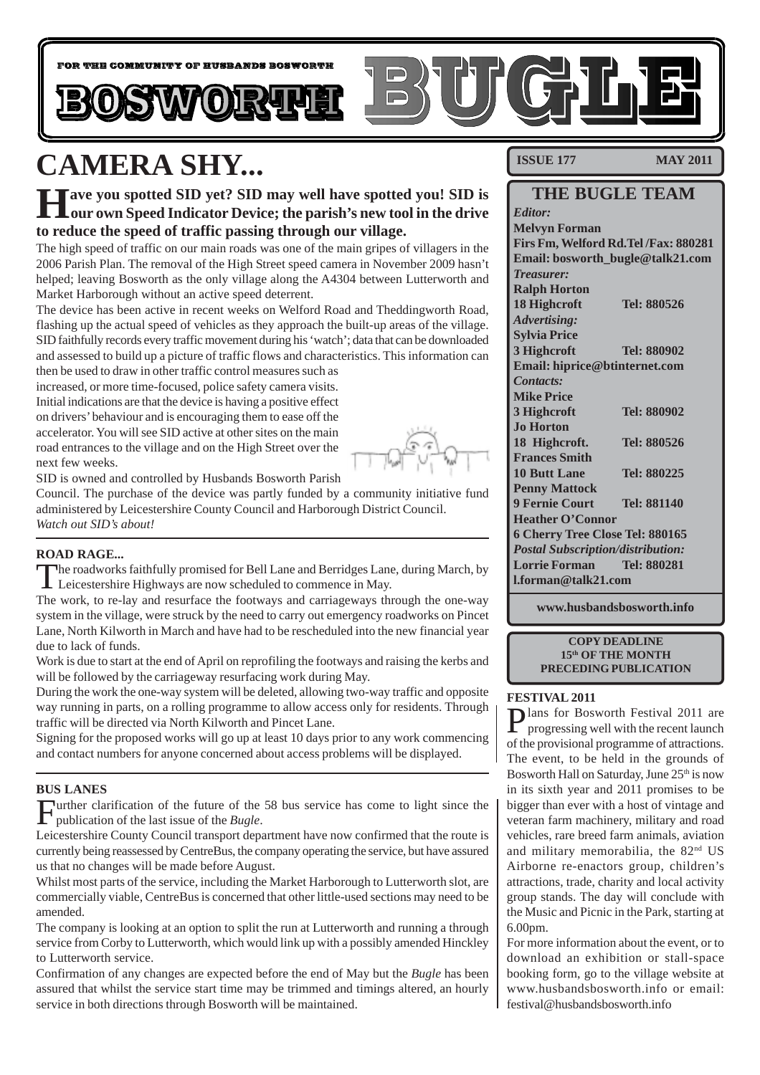

# **CAMERA SHY...**

**Have you spotted SID yet? SID may well have spotted you! SID is our own Speed Indicator Device; the parish's new tool in the drive to reduce the speed of traffic passing through our village.**

The high speed of traffic on our main roads was one of the main gripes of villagers in the 2006 Parish Plan. The removal of the High Street speed camera in November 2009 hasn't helped; leaving Bosworth as the only village along the A4304 between Lutterworth and Market Harborough without an active speed deterrent.

The device has been active in recent weeks on Welford Road and Theddingworth Road, flashing up the actual speed of vehicles as they approach the built-up areas of the village. SID faithfully records every traffic movement during his 'watch'; data that can be downloaded and assessed to build up a picture of traffic flows and characteristics. This information can

then be used to draw in other traffic control measures such as increased, or more time-focused, police safety camera visits. Initial indications are that the device is having a positive effect on drivers' behaviour and is encouraging them to ease off the accelerator. You will see SID active at other sites on the main road entrances to the village and on the High Street over the next few weeks.



SID is owned and controlled by Husbands Bosworth Parish

Council. The purchase of the device was partly funded by a community initiative fund administered by Leicestershire County Council and Harborough District Council. *Watch out SID's about!*

#### **ROAD RAGE...**

The roadworks faithfully promised for Bell Lane and Berridges Lane, during March, by Leicestershire Highways are now scheduled to commence in May.

The work, to re-lay and resurface the footways and carriageways through the one-way system in the village, were struck by the need to carry out emergency roadworks on Pincet Lane, North Kilworth in March and have had to be rescheduled into the new financial year due to lack of funds.

Work is due to start at the end of April on reprofiling the footways and raising the kerbs and will be followed by the carriageway resurfacing work during May.

During the work the one-way system will be deleted, allowing two-way traffic and opposite way running in parts, on a rolling programme to allow access only for residents. Through traffic will be directed via North Kilworth and Pincet Lane.

Signing for the proposed works will go up at least 10 days prior to any work commencing and contact numbers for anyone concerned about access problems will be displayed.

#### **BUS LANES**

Further clarification of the future of the 58 bus service has come to light since the publication of the last issue of the *Bugle*.

Leicestershire County Council transport department have now confirmed that the route is currently being reassessed by CentreBus, the company operating the service, but have assured us that no changes will be made before August.

Whilst most parts of the service, including the Market Harborough to Lutterworth slot, are commercially viable, CentreBus is concerned that other little-used sections may need to be amended.

The company is looking at an option to split the run at Lutterworth and running a through service from Corby to Lutterworth, which would link up with a possibly amended Hinckley to Lutterworth service.

Confirmation of any changes are expected before the end of May but the *Bugle* has been assured that whilst the service start time may be trimmed and timings altered, an hourly service in both directions through Bosworth will be maintained.

**ISSUE 177 MAY 2011** 

### **THE BUGLE TEAM**

*Editor:* **Melvyn Forman Firs Fm, Welford Rd.Tel /Fax: 880281 Email: bosworth\_bugle@talk21.com** *Treasurer:* **Ralph Horton 18 Highcroft Tel: 880526** *Advertising:* **Sylvia Price 3 Highcroft Tel: 880902 Email: hiprice@btinternet.com** *Contacts:* **Mike Price 3 Highcroft Tel: 880902 Jo Horton 18 Highcroft. Tel: 880526 Frances Smith 10 Butt Lane Tel: 880225 Penny Mattock 9 Fernie Court Tel: 881140 Heather O'Connor 6 Cherry Tree Close Tel: 880165** *Postal Subscription/distribution:* **Lorrie Forman Tel: 880281 l.forman@talk21.com**

**www.husbandsbosworth.info**

**COPY DEADLINE 15th OF THE MONTH PRECEDING PUBLICATION**

#### **FESTIVAL 2011**

Plans for Bosworth Festival 2011 are<br>progressing well with the recent launch progressing well with the recent launch of the provisional programme of attractions. The event, to be held in the grounds of Bosworth Hall on Saturday, June 25<sup>th</sup> is now in its sixth year and 2011 promises to be bigger than ever with a host of vintage and veteran farm machinery, military and road vehicles, rare breed farm animals, aviation and military memorabilia, the 82nd US Airborne re-enactors group, children's attractions, trade, charity and local activity group stands. The day will conclude with the Music and Picnic in the Park, starting at 6.00pm.

For more information about the event, or to download an exhibition or stall-space booking form, go to the village website at www.husbandsbosworth.info or email: festival@husbandsbosworth.info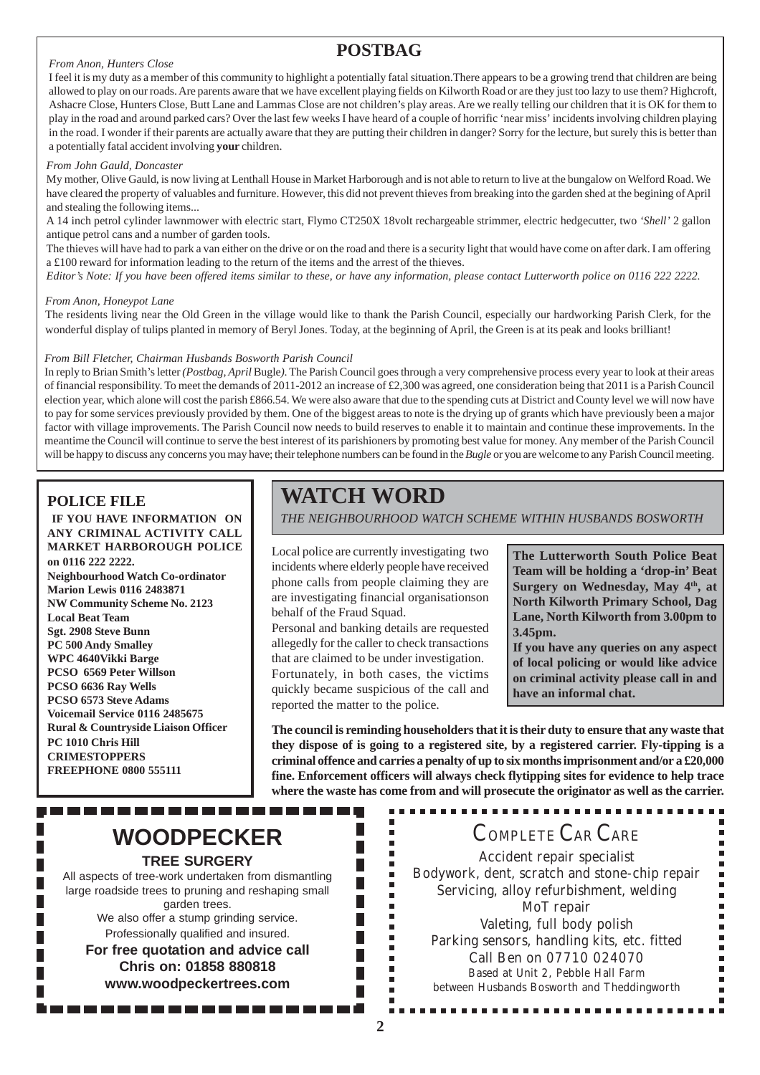#### *From Anon, Hunters Close*

### **POSTBAG**

I feel it is my duty as a member of this community to highlight a potentially fatal situation.There appears to be a growing trend that children are being allowed to play on our roads. Are parents aware that we have excellent playing fields on Kilworth Road or are they just too lazy to use them? Highcroft, Ashacre Close, Hunters Close, Butt Lane and Lammas Close are not children's play areas. Are we really telling our children that it is OK for them to play in the road and around parked cars? Over the last few weeks I have heard of a couple of horrific 'near miss' incidents involving children playing in the road. I wonder if their parents are actually aware that they are putting their children in danger? Sorry for the lecture, but surely this is better than a potentially fatal accident involving **your** children.

#### *From John Gauld, Doncaster*

My mother, Olive Gauld, is now living at Lenthall House in Market Harborough and is not able to return to live at the bungalow on Welford Road. We have cleared the property of valuables and furniture. However, this did not prevent thieves from breaking into the garden shed at the begining of April and stealing the following items...

A 14 inch petrol cylinder lawnmower with electric start, Flymo CT250X 18volt rechargeable strimmer, electric hedgecutter, two *'Shell'* 2 gallon antique petrol cans and a number of garden tools.

The thieves will have had to park a van either on the drive or on the road and there is a security light that would have come on after dark. I am offering a £100 reward for information leading to the return of the items and the arrest of the thieves.

*Editor's Note: If you have been offered items similar to these, or have any information, please contact Lutterworth police on 0116 222 2222.*

#### *From Anon, Honeypot Lane*

The residents living near the Old Green in the village would like to thank the Parish Council, especially our hardworking Parish Clerk, for the wonderful display of tulips planted in memory of Beryl Jones. Today, at the beginning of April, the Green is at its peak and looks brilliant!

#### *From Bill Fletcher, Chairman Husbands Bosworth Parish Council*

In reply to Brian Smith's letter *(Postbag, April* Bugle*)*. The Parish Council goes through a very comprehensive process every year to look at their areas of financial responsibility. To meet the demands of 2011-2012 an increase of £2,300 was agreed, one consideration being that 2011 is a Parish Council election year, which alone will cost the parish £866.54. We were also aware that due to the spending cuts at District and County level we will now have to pay for some services previously provided by them. One of the biggest areas to note is the drying up of grants which have previously been a major factor with village improvements. The Parish Council now needs to build reserves to enable it to maintain and continue these improvements. In the meantime the Council will continue to serve the best interest of its parishioners by promoting best value for money. Any member of the Parish Council will be happy to discuss any concerns you may have; their telephone numbers can be found in the *Bugle* or you are welcome to any Parish Council meeting.

#### **POLICE FILE**

**IF YOU HAVE INFORMATION ON ANY CRIMINAL ACTIVITY CALL MARKET HARBOROUGH POLICE on 0116 222 2222.**

**Neighbourhood Watch Co-ordinator Marion Lewis 0116 2483871 NW Community Scheme No. 2123 Local Beat Team Sgt. 2908 Steve Bunn PC 500 Andy Smalley WPC 4640Vikki Barge PCSO 6569 Peter Willson PCSO 6636 Ray Wells PCSO 6573 Steve Adams Voicemail Service 0116 2485675 Rural & Countryside Liaison Officer PC 1010 Chris Hill CRIMESTOPPERS FREEPHONE 0800 555111**

# **WATCH WORD**

*THE NEIGHBOURHOOD WATCH SCHEME WITHIN HUSBANDS BOSWORTH*

Local police are currently investigating two incidents where elderly people have received phone calls from people claiming they are are investigating financial organisationson behalf of the Fraud Squad.

Personal and banking details are requested allegedly for the caller to check transactions that are claimed to be under investigation. Fortunately, in both cases, the victims quickly became suspicious of the call and reported the matter to the police.

 $\blacksquare$ 

 $\blacksquare$ 

Ì.

Ė

 $\blacksquare$ × Î. Î. Ë É F п F

F.

П

**The Lutterworth South Police Beat Team will be holding a 'drop-in' Beat** Surgery on Wednesday, May 4<sup>th</sup>, at **North Kilworth Primary School, Dag Lane, North Kilworth from 3.00pm to 3.45pm.**

**If you have any queries on any aspect of local policing or would like advice on criminal activity please call in and have an informal chat.**

Ē

**The council is reminding householders that it is their duty to ensure that any waste that they dispose of is going to a registered site, by a registered carrier. Fly-tipping is a criminal offence and carries a penalty of up to six months imprisonment and/or a £20,000 fine. Enforcement officers will always check flytipping sites for evidence to help trace where the waste has come from and will prosecute the originator as well as the carrier.**

# **WOODPECKER**

**TREE SURGERY**

----------

All aspects of tree-work undertaken from dismantling large roadside trees to pruning and reshaping small garden trees. We also offer a stump grinding service.

Professionally qualified and insured.

**For free quotation and advice call Chris on: 01858 880818 www.woodpeckertrees.com**

### COMPLETE CAR CARE

Accident repair specialist Bodywork, dent, scratch and stone-chip repair Servicing, alloy refurbishment, welding MoT repair Valeting, full body polish Parking sensors, handling kits, etc. fitted Call Ben on 07710 024070 Based at Unit 2, Pebble Hall Farm between Husbands Bosworth and Theddingworth

.............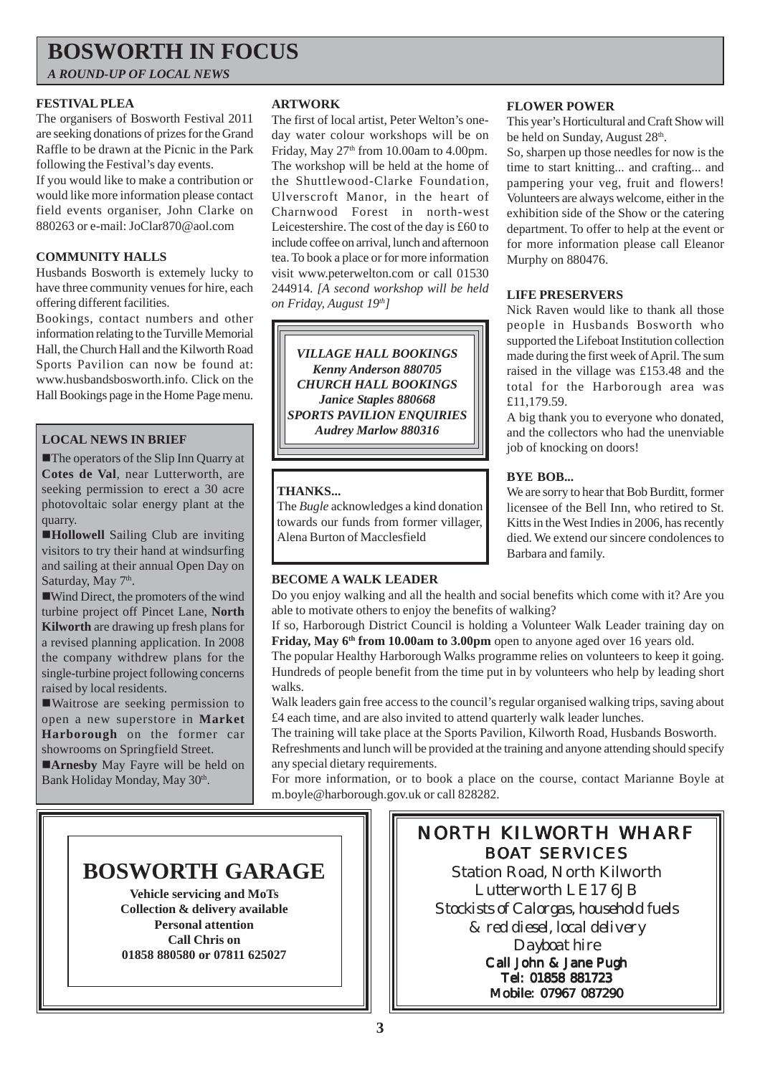## **BOSWORTH IN FOCUS**

*A ROUND-UP OF LOCAL NEWS*

#### **FESTIVAL PLEA**

The organisers of Bosworth Festival 2011 are seeking donations of prizes for the Grand Raffle to be drawn at the Picnic in the Park following the Festival's day events.

If you would like to make a contribution or would like more information please contact field events organiser, John Clarke on 880263 or e-mail: JoClar870@aol.com

#### **COMMUNITY HALLS**

Husbands Bosworth is extemely lucky to have three community venues for hire, each offering different facilities.

Bookings, contact numbers and other information relating to the Turville Memorial Hall, the Church Hall and the Kilworth Road Sports Pavilion can now be found at: www.husbandsbosworth.info. Click on the Hall Bookings page in the Home Page menu.

#### **LOCAL NEWS IN BRIEF**

**The operators of the Slip Inn Quarry at Cotes de Val**, near Lutterworth, are seeking permission to erect a 30 acre photovoltaic solar energy plant at the quarry.

!**Hollowell** Sailing Club are inviting visitors to try their hand at windsurfing and sailing at their annual Open Day on Saturday, May 7<sup>th</sup>.

!Wind Direct, the promoters of the wind turbine project off Pincet Lane, **North Kilworth** are drawing up fresh plans for a revised planning application. In 2008 the company withdrew plans for the single-turbine project following concerns raised by local residents.

!Waitrose are seeking permission to open a new superstore in **Market Harborough** on the former car showrooms on Springfield Street.

**Arnesby** May Fayre will be held on Bank Holiday Monday, May 30<sup>th</sup>.

#### **ARTWORK**

The first of local artist, Peter Welton's oneday water colour workshops will be on Friday, May  $27<sup>th</sup>$  from 10.00am to 4.00pm. The workshop will be held at the home of the Shuttlewood-Clarke Foundation, Ulverscroft Manor, in the heart of Charnwood Forest in north-west Leicestershire. The cost of the day is £60 to include coffee on arrival, lunch and afternoon tea. To book a place or for more information visit www.peterwelton.com or call 01530 244914. *[A second workshop will be held on Friday, August 19th]*

*VILLAGE HALL BOOKINGS Kenny Anderson 880705 CHURCH HALL BOOKINGS Janice Staples 880668 SPORTS PAVILION ENQUIRIES Audrey Marlow 880316*

#### **THANKS...**

The *Bugle* acknowledges a kind donation towards our funds from former villager, Alena Burton of Macclesfield

#### **BECOME A WALK LEADER**

Do you enjoy walking and all the health and social benefits which come with it? Are you able to motivate others to enjoy the benefits of walking?

If so, Harborough District Council is holding a Volunteer Walk Leader training day on **Friday, May 6<sup>th</sup> from 10.00am to 3.00pm** open to anyone aged over 16 years old.

The popular Healthy Harborough Walks programme relies on volunteers to keep it going. Hundreds of people benefit from the time put in by volunteers who help by leading short walks.

Walk leaders gain free access to the council's regular organised walking trips, saving about £4 each time, and are also invited to attend quarterly walk leader lunches.

The training will take place at the Sports Pavilion, Kilworth Road, Husbands Bosworth. Refreshments and lunch will be provided at the training and anyone attending should specify any special dietary requirements.

For more information, or to book a place on the course, contact Marianne Boyle at m.boyle@harborough.gov.uk or call 828282.



**Vehicle servicing and MoTs Collection & delivery available Personal attention Call Chris on 01858 880580 or 07811 625027**

### NORTH KILWORTH WHARF BOAT SERVICES

Station Road, North Kilworth Lutterworth LE17 6JB *Stockists of Calorgas, household fuels & red diesel, local delivery Dayboat hire* Call John & Jane Pugh Tel: 01858 881723 Mobile: 07967 087290

**3**

#### **FLOWER POWER**

This year's Horticultural and Craft Show will be held on Sunday, August 28<sup>th</sup>.

So, sharpen up those needles for now is the time to start knitting... and crafting... and pampering your veg, fruit and flowers! Volunteers are always welcome, either in the exhibition side of the Show or the catering department. To offer to help at the event or for more information please call Eleanor Murphy on 880476.

#### **LIFE PRESERVERS**

Nick Raven would like to thank all those people in Husbands Bosworth who supported the Lifeboat Institution collection made during the first week of April. The sum raised in the village was £153.48 and the total for the Harborough area was £11,179.59.

A big thank you to everyone who donated, and the collectors who had the unenviable job of knocking on doors!

#### **BYE BOB...**

We are sorry to hear that Bob Burditt, former licensee of the Bell Inn, who retired to St. Kitts in the West Indies in 2006, has recently died. We extend our sincere condolences to Barbara and family.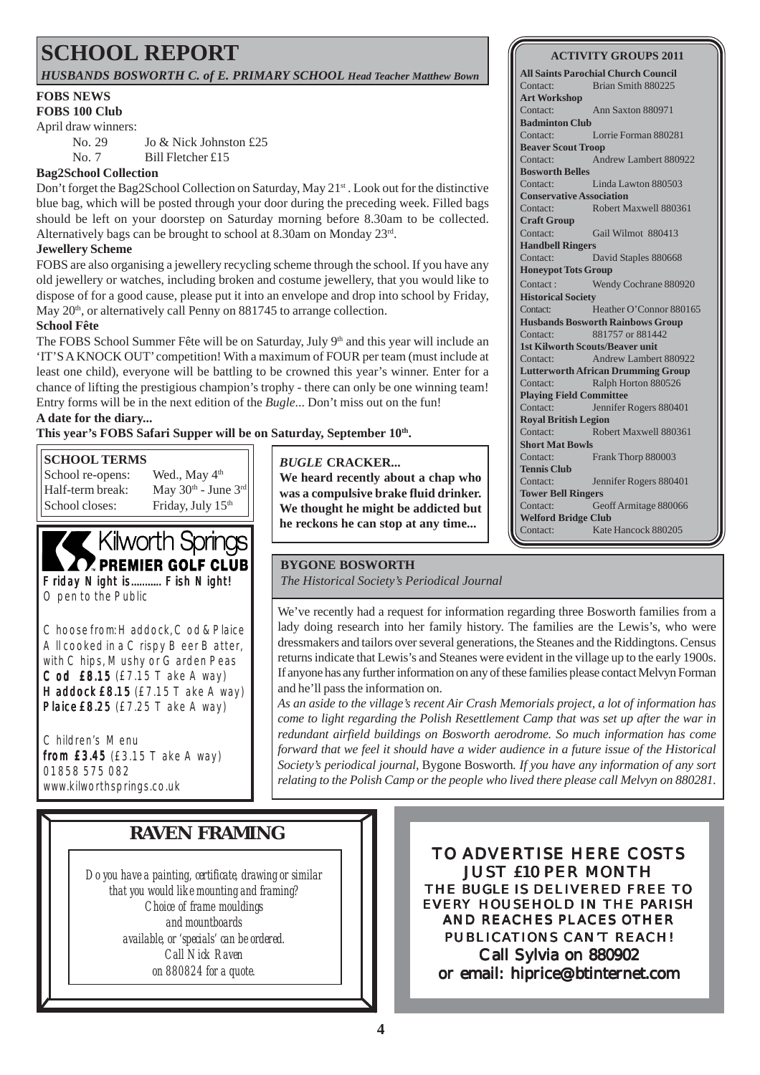# **SCHOOL REPORT**

#### *HUSBANDS BOSWORTH C. of E. PRIMARY SCHOOL Head Teacher Matthew Bown*

#### **FOBS NEWS**

**FOBS 100 Club**

April draw winners:

No. 29 Jo & Nick Johnston £25 No. 7 Bill Fletcher £15

#### **Bag2School Collection**

Don't forget the Bag2School Collection on Saturday, May 21<sup>st</sup> . Look out for the distinctive blue bag, which will be posted through your door during the preceding week. Filled bags should be left on your doorstep on Saturday morning before 8.30am to be collected. Alternatively bags can be brought to school at 8.30am on Monday 23rd.

#### **Jewellery Scheme**

FOBS are also organising a jewellery recycling scheme through the school. If you have any old jewellery or watches, including broken and costume jewellery, that you would like to dispose of for a good cause, please put it into an envelope and drop into school by Friday, May  $20<sup>th</sup>$ , or alternatively call Penny on 881745 to arrange collection.

#### **School Fête**

The FOBS School Summer Fête will be on Saturday, July 9<sup>th</sup> and this year will include an 'IT'S A KNOCK OUT' competition! With a maximum of FOUR per team (must include at least one child), everyone will be battling to be crowned this year's winner. Enter for a chance of lifting the prestigious champion's trophy - there can only be one winning team! Entry forms will be in the next edition of the *Bugle*... Don't miss out on the fun!

#### **A date for the diary...**

This year's FOBS Safari Supper will be on Saturday, September 10<sup>th</sup>.

#### **SCHOOL TERMS**

School closes: Friday, July 15<sup>th</sup>

School re-opens: Wed., May  $4<sup>th</sup>$ Half-term break: May  $30<sup>th</sup>$  - June  $3<sup>rd</sup>$ 

## Kilworth Springs **Z PREMIER GOLF CLUB**

Friday Night is........... Fish Night! Open to the Public

Choose from: Haddock, Cod & Plaice All cooked in a Crispy Beer Batter, with Chips, Mushy or Garden Peas Cod £8.15 (£7.15 Take Away) Haddock £8.15  $(E7.15$  Take Away) Plaice£8.25 (£7.25 Take Away)

Children's Menu from £3.45 (£3.15 Take Away) 01858 575 082 www.kilworthsprings.co.uk

*BUGLE* **CRACKER...**

**We heard recently about a chap who was a compulsive brake fluid drinker. We thought he might be addicted but he reckons he can stop at any time...**

#### **BYGONE BOSWORTH**

*The Historical Society's Periodical Journal*

We've recently had a request for information regarding three Bosworth families from a lady doing research into her family history. The families are the Lewis's, who were dressmakers and tailors over several generations, the Steanes and the Riddingtons. Census returns indicate that Lewis's and Steanes were evident in the village up to the early 1900s. If anyone has any further information on any of these families please contact Melvyn Forman and he'll pass the information on.

*As an aside to the village's recent Air Crash Memorials project, a lot of information has come to light regarding the Polish Resettlement Camp that was set up after the war in redundant airfield buildings on Bosworth aerodrome. So much information has come forward that we feel it should have a wider audience in a future issue of the Historical Society's periodical journal,* Bygone Bosworth*. If you have any information of any sort relating to the Polish Camp or the people who lived there please call Melvyn on 880281.*

### **RAVEN FRAMING**

*Do you have a painting, certificate, drawing or similar that you would like mounting and framing? Choice of frame mouldings and mountboards available, or 'specials' can be ordered. Call Nick Raven on 880824 for a quote.*

TO ADVERTISE HERE COSTS JUST £10 PER MONTH THE *BUGLE* IS DELIVERED FREE TO EVERY HOUSEHOLD IN THE PARISH AND REACHES PLACES OTHER PUBLICATIONS CAN'T REACH! Call Sylvia on 880902 or email: hiprice@btinternet.com

#### **4**

#### **ACTIVITY GROUPS 2011**

**All Saints Parochial Church Council** Contact: Brian Smith 880225 **Art Workshop** Contact: Ann Saxton 880971 **Badminton Club** Contact: Lorrie Forman 880281 **Beaver Scout Troop** Contact: Andrew Lambert 880922 **Bosworth Belles** Contact: Linda Lawton 880503 **Conservative Association** Contact: Robert Maxwell 880361 **Craft Group** Contact: Gail Wilmot 880413 **Handbell Ringers** Contact: David Staples 880668 **Honeypot Tots Group** Contact : Wendy Cochrane 880920 **Historical Society** Contact: Heather O'Connor 880165 **Husbands Bosworth Rainbows Group** Contact: 881757 or 881442 **1st Kilworth Scouts/Beaver unit** Contact: Andrew Lambert 880922 **Lutterworth African Drumming Group** Contact: Ralph Horton 880526 **Playing Field Committee** Contact: Jennifer Rogers 880401 **Royal British Legion** Contact: Robert Maxwell 880361 **Short Mat Bowls** Contact: Frank Thorp 880003 **Tennis Club** Contact: Jennifer Rogers 880401 **Tower Bell Ringers** Contact: Geoff Armitage 880066 **Welford Bridge Club** Contact: Kate Hancock 880205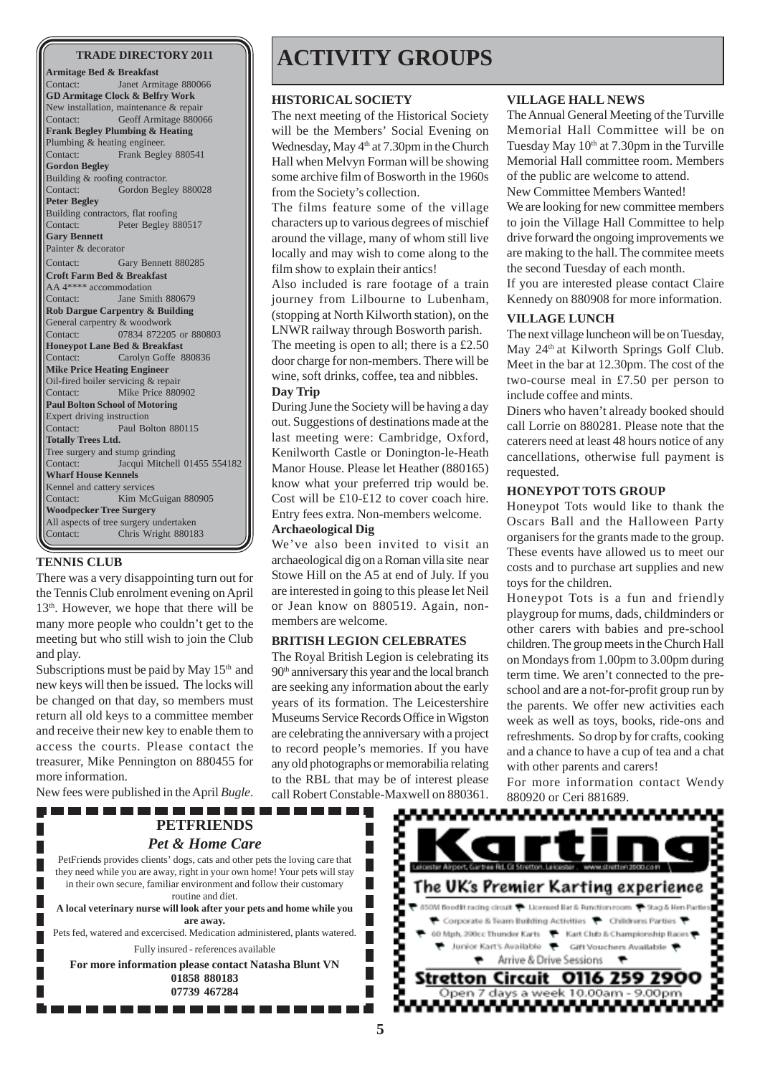**Armitage Bed & Breakfast** Contact: Janet Armitage 880066 **GD Armitage Clock & Belfry Work** New installation, maintenance & repair Contact: Geoff Armitage 880066 **Frank Begley Plumbing & Heating** Plumbing & heating engineer. Contact: Frank Begley 880541 **Gordon Begley** Building & roofing contractor. Contact: Gordon Begley 880028 **Peter Begley** Building contractors, flat roofing Contact: Peter Begley 880517 **Gary Bennett** Painter & decorator Contact: Gary Bennett 880285 **Croft Farm Bed & Breakfast** AA 4\*\*\*\* accommodation Contact: Jane Smith 880679 **Rob Dargue Carpentry & Building** General carpentry & woodwork Contact: 07834 872205 or 880803 **Honeypot Lane Bed & Breakfast** Contact: Carolyn Goffe 880836 **Mike Price Heating Engineer** Oil-fired boiler servicing & repair Contact: Mike Price 880902 **Paul Bolton School of Motoring** Expert driving instruction Contact: Paul Bolton 880115 **Totally Trees Ltd.** Tree surgery and stump grinding Contact: Jacqui Mitchell 01455 554182 **Wharf House Kennels** Kennel and cattery services<br>Contact: Kim Mc Kim McGuigan 880905 **Woodpecker Tree Surgery** All aspects of tree surgery undertaken Contact: Chris Wright 880183

#### **TENNIS CLUB**

There was a very disappointing turn out for the Tennis Club enrolment evening on April  $13<sup>th</sup>$ . However, we hope that there will be many more people who couldn't get to the meeting but who still wish to join the Club and play.

Subscriptions must be paid by May  $15<sup>th</sup>$  and new keys will then be issued. The locks will be changed on that day, so members must return all old keys to a committee member and receive their new key to enable them to access the courts. Please contact the treasurer, Mike Pennington on 880455 for more information.

New fees were published in the April *Bugle*.

-------

# **TRADE DIRECTORY 2011 | ACTIVITY GROUPS**

#### **HISTORICAL SOCIETY**

The next meeting of the Historical Society will be the Members' Social Evening on Wednesday, May  $4<sup>th</sup>$  at 7.30pm in the Church Hall when Melvyn Forman will be showing some archive film of Bosworth in the 1960s from the Society's collection.

The films feature some of the village characters up to various degrees of mischief around the village, many of whom still live locally and may wish to come along to the film show to explain their antics!

Also included is rare footage of a train journey from Lilbourne to Lubenham, (stopping at North Kilworth station), on the LNWR railway through Bosworth parish. The meeting is open to all; there is a £2.50 door charge for non-members. There will be wine, soft drinks, coffee, tea and nibbles.

#### **Day Trip**

During June the Society will be having a day out. Suggestions of destinations made at the last meeting were: Cambridge, Oxford, Kenilworth Castle or Donington-le-Heath Manor House. Please let Heather (880165) know what your preferred trip would be. Cost will be £10-£12 to cover coach hire. Entry fees extra. Non-members welcome.

#### **Archaeological Dig**

We've also been invited to visit an archaeological dig on a Roman villa site near Stowe Hill on the A5 at end of July. If you are interested in going to this please let Neil or Jean know on 880519. Again, nonmembers are welcome.

#### **BRITISH LEGION CELEBRATES**

The Royal British Legion is celebrating its 90<sup>th</sup> anniversary this year and the local branch are seeking any information about the early years of its formation. The Leicestershire Museums Service Records Office in Wigston are celebrating the anniversary with a project to record people's memories. If you have any old photographs or memorabilia relating to the RBL that may be of interest please call Robert Constable-Maxwell on 880361.

#### **VILLAGE HALL NEWS**

The Annual General Meeting of the Turville Memorial Hall Committee will be on Tuesday May  $10<sup>th</sup>$  at 7.30pm in the Turville Memorial Hall committee room. Members of the public are welcome to attend. New Committee Members Wanted!

We are looking for new committee members to join the Village Hall Committee to help drive forward the ongoing improvements we are making to the hall. The commitee meets the second Tuesday of each month.

If you are interested please contact Claire Kennedy on 880908 for more information.

#### **VILLAGE LUNCH**

The next village luncheon will be on Tuesday, May 24<sup>th</sup> at Kilworth Springs Golf Club. Meet in the bar at 12.30pm. The cost of the two-course meal in £7.50 per person to include coffee and mints.

Diners who haven't already booked should call Lorrie on 880281. Please note that the caterers need at least 48 hours notice of any cancellations, otherwise full payment is requested.

#### **HONEYPOT TOTS GROUP**

Honeypot Tots would like to thank the Oscars Ball and the Halloween Party organisers for the grants made to the group. These events have allowed us to meet our costs and to purchase art supplies and new toys for the children.

Honeypot Tots is a fun and friendly playgroup for mums, dads, childminders or other carers with babies and pre-school children. The group meets in the Church Hall on Mondays from 1.00pm to 3.00pm during term time. We aren't connected to the preschool and are a not-for-profit group run by the parents. We offer new activities each week as well as toys, books, ride-ons and refreshments. So drop by for crafts, cooking and a chance to have a cup of tea and a chat with other parents and carers!

For more information contact Wendy 880920 or Ceri 881689.

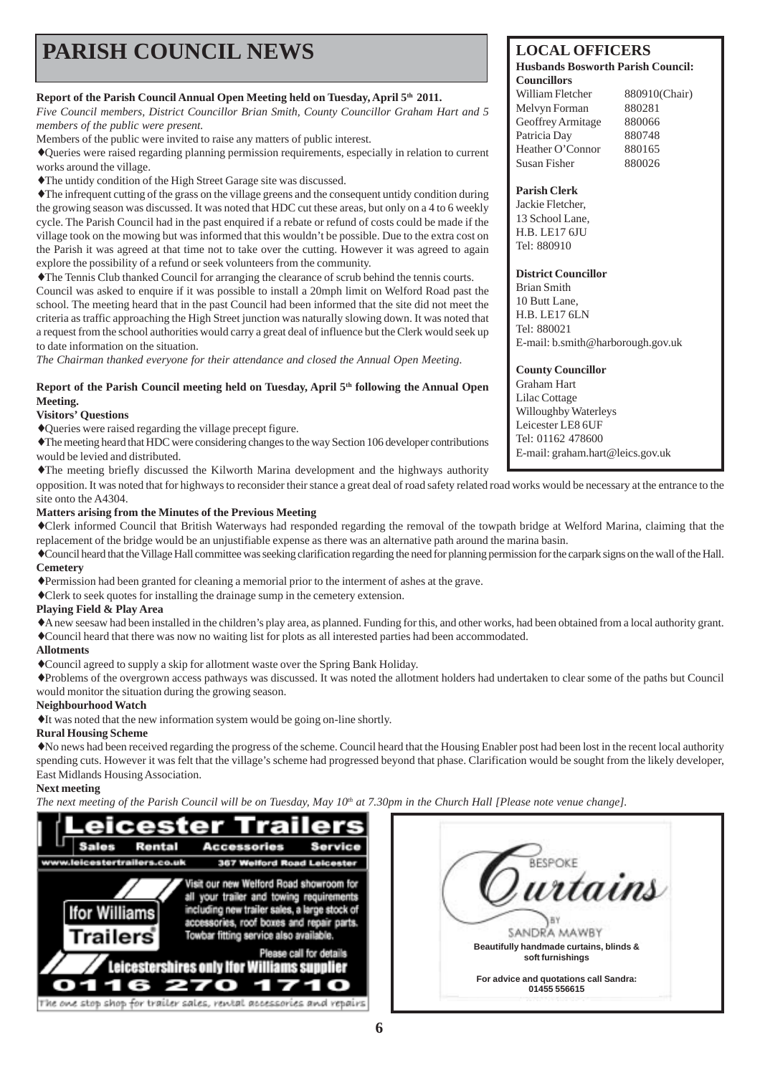# **PARISH COUNCIL NEWS** LOCAL OFFICERS

#### Report of the Parish Council Annual Open Meeting held on Tuesday, April  $5<sup>th</sup> 2011$ .

*Five Council members, District Councillor Brian Smith, County Councillor Graham Hart and 5 members of the public were present.*

Members of the public were invited to raise any matters of public interest.

♦Queries were raised regarding planning permission requirements, especially in relation to current works around the village.

♦The untidy condition of the High Street Garage site was discussed.

♦The infrequent cutting of the grass on the village greens and the consequent untidy condition during the growing season was discussed. It was noted that HDC cut these areas, but only on a 4 to 6 weekly cycle. The Parish Council had in the past enquired if a rebate or refund of costs could be made if the village took on the mowing but was informed that this wouldn't be possible. Due to the extra cost on the Parish it was agreed at that time not to take over the cutting. However it was agreed to again explore the possibility of a refund or seek volunteers from the community.

♦The Tennis Club thanked Council for arranging the clearance of scrub behind the tennis courts.

Council was asked to enquire if it was possible to install a 20mph limit on Welford Road past the school. The meeting heard that in the past Council had been informed that the site did not meet the criteria as traffic approaching the High Street junction was naturally slowing down. It was noted that a request from the school authorities would carry a great deal of influence but the Clerk would seek up to date information on the situation.

*The Chairman thanked everyone for their attendance and closed the Annual Open Meeting.*

#### **Report of the Parish Council meeting held on Tuesday, April 5th following the Annual Open Meeting.**

#### **Visitors' Questions**

♦Queries were raised regarding the village precept figure.

♦The meeting heard that HDC were considering changes to the way Section 106 developer contributions would be levied and distributed.

♦The meeting briefly discussed the Kilworth Marina development and the highways authority

opposition. It was noted that for highways to reconsider their stance a great deal of road safety related road works would be necessary at the entrance to the site onto the A4304.

#### **Matters arising from the Minutes of the Previous Meeting**

♦Clerk informed Council that British Waterways had responded regarding the removal of the towpath bridge at Welford Marina, claiming that the replacement of the bridge would be an unjustifiable expense as there was an alternative path around the marina basin.

♦Council heard that the Village Hall committee was seeking clarification regarding the need for planning permission for the carpark signs on the wall of the Hall. **Cemetery**

♦Permission had been granted for cleaning a memorial prior to the interment of ashes at the grave.

♦Clerk to seek quotes for installing the drainage sump in the cemetery extension.

#### **Playing Field & Play Area**

♦A new seesaw had been installed in the children's play area, as planned. Funding for this, and other works, had been obtained from a local authority grant. ♦Council heard that there was now no waiting list for plots as all interested parties had been accommodated.

#### **Allotments**

♦Council agreed to supply a skip for allotment waste over the Spring Bank Holiday.

♦Problems of the overgrown access pathways was discussed. It was noted the allotment holders had undertaken to clear some of the paths but Council would monitor the situation during the growing season.

#### **Neighbourhood Watch**

♦It was noted that the new information system would be going on-line shortly.

#### **Rural Housing Scheme**

♦No news had been received regarding the progress of the scheme. Council heard that the Housing Enabler post had been lost in the recent local authority spending cuts. However it was felt that the village's scheme had progressed beyond that phase. Clarification would be sought from the likely developer, East Midlands Housing Association.

#### **Next meeting**

*The next meeting of the Parish Council will be on Tuesday, May*  $10^{th}$  *at 7.30pm in the Church Hall [Please note venue change].* 



| RESP                                                        |
|-------------------------------------------------------------|
| urtains                                                     |
| SANDRA MAWB                                                 |
| Beautifully handmade curtains, blinds &<br>soft furnishings |
| For advice and quotations call Sandra:<br>01455 556615      |

#### **Husbands Bosworth Parish Council: Councillors**

| William Fletcher  | 880910(Chair) |
|-------------------|---------------|
| Melvyn Forman     | 880281        |
| Geoffrey Armitage | 880066        |
| Patricia Dav      | 880748        |
| Heather O'Connor  | 880165        |
| Susan Fisher      | 880026        |
|                   |               |

#### **Parish Clerk**

Jackie Fletcher, 13 School Lane, H.B. LE17 6JU Tel: 880910

#### **District Councillor**

Brian Smith 10 Butt Lane, H.B. LE17 6LN Tel: 880021 E-mail: b.smith@harborough.gov.uk

#### **County Councillor**

Graham Hart Lilac Cottage Willoughby Waterleys Leicester LE8 6UF Tel: 01162 478600 E-mail: graham.hart@leics.gov.uk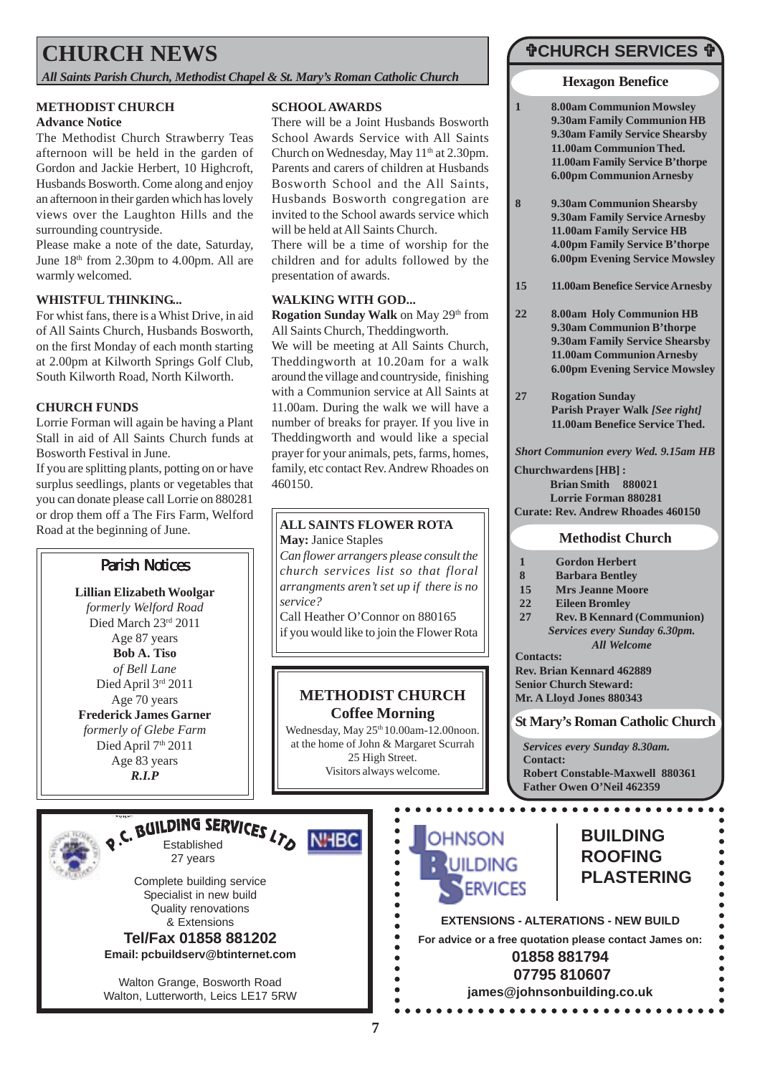# **CHURCH NEWS**

*All Saints Parish Church, Methodist Chapel & St. Mary's Roman Catholic Church*

#### **METHODIST CHURCH Advance Notice**

The Methodist Church Strawberry Teas afternoon will be held in the garden of Gordon and Jackie Herbert, 10 Highcroft, Husbands Bosworth. Come along and enjoy an afternoon in their garden which has lovely views over the Laughton Hills and the surrounding countryside.

Please make a note of the date, Saturday, June  $18<sup>th</sup>$  from 2.30pm to 4.00pm. All are warmly welcomed.

#### **WHISTFUL THINKING...**

For whist fans, there is a Whist Drive, in aid of All Saints Church, Husbands Bosworth, on the first Monday of each month starting at 2.00pm at Kilworth Springs Golf Club, South Kilworth Road, North Kilworth.

#### **CHURCH FUNDS**

Lorrie Forman will again be having a Plant Stall in aid of All Saints Church funds at Bosworth Festival in June.

If you are splitting plants, potting on or have surplus seedlings, plants or vegetables that you can donate please call Lorrie on 880281 or drop them off a The Firs Farm, Welford Road at the beginning of June.

### Parish Notices

**Lillian Elizabeth Woolgar** *formerly Welford Road* Died March 23rd 2011 Age 87 years **Bob A. Tiso** *of Bell Lane* Died April 3rd 2011 Age 70 years **Frederick James Garner** *formerly of Glebe Farm* Died April 7<sup>th</sup> 2011 Age 83 years *R.I.P*

# o.C. BUILDING SERVICES LTO NHBC

Complete building service Specialist in new build Quality renovations & Extensions **Tel/Fax 01858 881202**

27 years

**Email: pcbuildserv@btinternet.com**

Walton Grange, Bosworth Road Walton, Lutterworth, Leics LE17 5RW

#### **SCHOOL AWARDS**

There will be a Joint Husbands Bosworth School Awards Service with All Saints Church on Wednesday, May  $11<sup>th</sup>$  at 2.30pm. Parents and carers of children at Husbands Bosworth School and the All Saints, Husbands Bosworth congregation are invited to the School awards service which will be held at All Saints Church.

There will be a time of worship for the children and for adults followed by the presentation of awards.

#### **WALKING WITH GOD...**

**Rogation Sunday Walk** on May 29<sup>th</sup> from All Saints Church, Theddingworth.

We will be meeting at All Saints Church, Theddingworth at 10.20am for a walk around the village and countryside, finishing with a Communion service at All Saints at 11.00am. During the walk we will have a number of breaks for prayer. If you live in Theddingworth and would like a special prayer for your animals, pets, farms, homes, family, etc contact Rev. Andrew Rhoades on 460150.

#### **ALL SAINTS FLOWER ROTA May:** Janice Staples

*Can flower arrangers please consult the church services list so that floral arrangments aren't set up if there is no service?* Call Heather O'Connor on 880165

if you would like to join the Flower Rota

#### **METHODIST CHURCH Coffee Morning**

Wednesday, May 25<sup>th</sup> 10.00am-12.00noon. at the home of John & Margaret Scurrah 25 High Street. Visitors always welcome.

> $\bullet$  $\bullet$

> $\bullet$

----------

 $\bullet$ 

### "**CHURCH SERVICES** "

**Hexagon Benefice**

- **1 8.00am Communion Mowsley 9.30am Family Communion HB 9.30am Family Service Shearsby 11.00am Communion Thed. 11.00am Family Service B'thorpe 6.00pm Communion Arnesby**
- **8 9.30am Communion Shearsby 9.30am Family Service Arnesby 11.00am Family Service HB 4.00pm Family Service B'thorpe 6.00pm Evening Service Mowsley**
- **15 11.00am Benefice Service Arnesby**
- **22 8.00am Holy Communion HB 9.30am Communion B'thorpe 9.30am Family Service Shearsby 11.00am Communion Arnesby 6.00pm Evening Service Mowsley**
- **27 Rogation Sunday Parish Prayer Walk** *[See right]* **11.00am Benefice Service Thed.**

*Short Communion every Wed. 9.15am HB*

**Churchwardens [HB] : Brian Smith 880021 Lorrie Forman 880281 Curate: Rev. Andrew Rhoades 460150**

#### **Methodist Church**

- **1 Gordon Herbert**
- **8 Barbara Bentley**
- **15 Mrs Jeanne Moore**
- **22 Eileen Bromley**
- **27 Rev. B Kennard (Communion)** *Services every Sunday 6.30pm. All Welcome*
- **Contacts:**

**Rev. Brian Kennard 462889 Senior Church Steward: Mr. A Lloyd Jones 880343**

#### **St Mary's Roman Catholic Church**

*Services every Sunday 8.30am.* **Contact: Robert Constable-Maxwell 880361 Father Owen O'Neil 462359**

. . . . . . . . . . . . . . . . . .



### **BUILDING ROOFING PLASTERING**

**EXTENSIONS - ALTERATIONS - NEW BUILD For advice or a free quotation please contact James on: 01858 881794**

 **07795 810607**

**james@johnsonbuilding.co.uk**